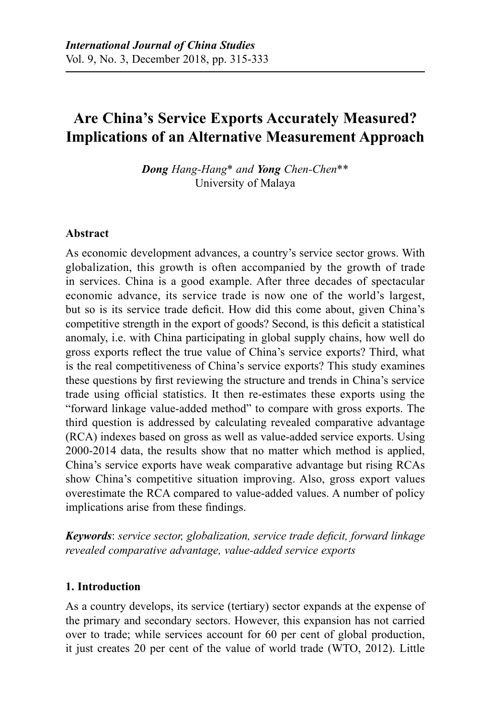# **Are China's Service Exports Accurately Measured? Implications of an Alternative Measurement Approach**

*Dong Hang-Hang*\* *and Yong Chen-Chen*\*\* University of Malaya

#### **Abstract**

As economic development advances, a country's service sector grows. With globalization, this growth is often accompanied by the growth of trade in services. China is a good example. After three decades of spectacular economic advance, its service trade is now one of the world's largest, but so is its service trade deficit. How did this come about, given China's competitive strength in the export of goods? Second, is this deficit a statistical anomaly, i.e. with China participating in global supply chains, how well do gross exports reflect the true value of China's service exports? Third, what is the real competitiveness of China's service exports? This study examines these questions by first reviewing the structure and trends in China's service trade using official statistics. It then re-estimates these exports using the "forward linkage value-added method" to compare with gross exports. The third question is addressed by calculating revealed comparative advantage (RCA) indexes based on gross as well as value-added service exports. Using 2000-2014 data, the results show that no matter which method is applied, China's service exports have weak comparative advantage but rising RCAs show China's competitive situation improving. Also, gross export values overestimate the RCA compared to value-added values. A number of policy implications arise from these findings.

*Keywords*: *service sector, globalization, service trade deficit, forward linkage revealed comparative advantage, value-added service exports*

#### **1. Introduction**

As a country develops, its service (tertiary) sector expands at the expense of the primary and secondary sectors. However, this expansion has not carried over to trade; while services account for 60 per cent of global production, it just creates 20 per cent of the value of world trade (WTO, 2012). Little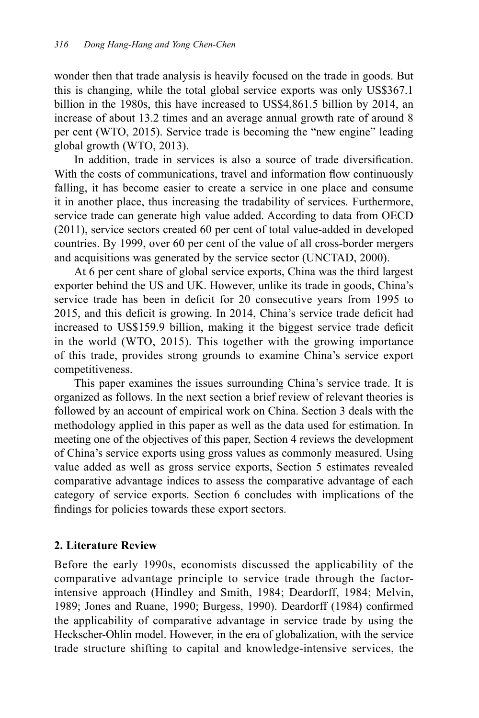wonder then that trade analysis is heavily focused on the trade in goods. But this is changing, while the total global service exports was only US\$367.1 billion in the 1980s, this have increased to US\$4,861.5 billion by 2014, an increase of about 13.2 times and an average annual growth rate of around 8 per cent (WTO, 2015). Service trade is becoming the "new engine" leading global growth (WTO, 2013).

In addition, trade in services is also a source of trade diversification. With the costs of communications, travel and information flow continuously falling, it has become easier to create a service in one place and consume it in another place, thus increasing the tradability of services. Furthermore, service trade can generate high value added. According to data from OECD (2011), service sectors created 60 per cent of total value-added in developed countries. By 1999, over 60 per cent of the value of all cross-border mergers and acquisitions was generated by the service sector (UNCTAD, 2000).

At 6 per cent share of global service exports, China was the third largest exporter behind the US and UK. However, unlike its trade in goods, China's service trade has been in deficit for 20 consecutive years from 1995 to 2015, and this deficit is growing. In 2014, China's service trade deficit had increased to US\$159.9 billion, making it the biggest service trade deficit in the world (WTO, 2015). This together with the growing importance of this trade, provides strong grounds to examine China's service export competitiveness.

This paper examines the issues surrounding China's service trade. It is organized as follows. In the next section a brief review of relevant theories is followed by an account of empirical work on China. Section 3 deals with the methodology applied in this paper as well as the data used for estimation. In meeting one of the objectives of this paper, Section 4 reviews the development of China's service exports using gross values as commonly measured. Using value added as well as gross service exports, Section 5 estimates revealed comparative advantage indices to assess the comparative advantage of each category of service exports. Section 6 concludes with implications of the findings for policies towards these export sectors.

## **2. Literature Review**

Before the early 1990s, economists discussed the applicability of the comparative advantage principle to service trade through the factorintensive approach (Hindley and Smith, 1984; Deardorff, 1984; Melvin, 1989; Jones and Ruane, 1990; Burgess, 1990). Deardorff (1984) confirmed the applicability of comparative advantage in service trade by using the Heckscher-Ohlin model. However, in the era of globalization, with the service trade structure shifting to capital and knowledge-intensive services, the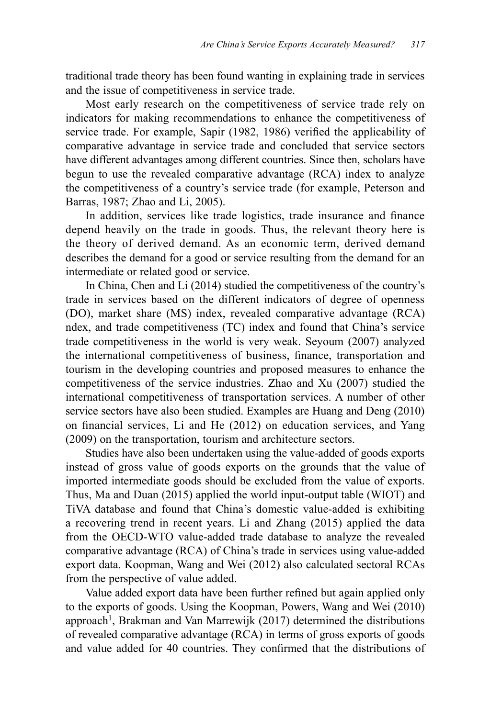traditional trade theory has been found wanting in explaining trade in services and the issue of competitiveness in service trade.

Most early research on the competitiveness of service trade rely on indicators for making recommendations to enhance the competitiveness of service trade. For example, Sapir (1982, 1986) verified the applicability of comparative advantage in service trade and concluded that service sectors have different advantages among different countries. Since then, scholars have begun to use the revealed comparative advantage (RCA) index to analyze the competitiveness of a country's service trade (for example, Peterson and Barras, 1987; Zhao and Li, 2005).

In addition, services like trade logistics, trade insurance and finance depend heavily on the trade in goods. Thus, the relevant theory here is the theory of derived demand. As an economic term, derived demand describes the demand for a good or service resulting from the demand for an intermediate or related good or service.

In China, Chen and Li (2014) studied the competitiveness of the country's trade in services based on the different indicators of degree of openness (DO), market share (MS) index, revealed comparative advantage (RCA) ndex, and trade competitiveness (TC) index and found that China's service trade competitiveness in the world is very weak. Seyoum (2007) analyzed the international competitiveness of business, finance, transportation and tourism in the developing countries and proposed measures to enhance the competitiveness of the service industries. Zhao and Xu (2007) studied the international competitiveness of transportation services. A number of other service sectors have also been studied. Examples are Huang and Deng (2010) on financial services, Li and He (2012) on education services, and Yang (2009) on the transportation, tourism and architecture sectors.

Studies have also been undertaken using the value-added of goods exports instead of gross value of goods exports on the grounds that the value of imported intermediate goods should be excluded from the value of exports. Thus, Ma and Duan (2015) applied the world input-output table (WIOT) and TiVA database and found that China's domestic value-added is exhibiting a recovering trend in recent years. Li and Zhang (2015) applied the data from the OECD-WTO value-added trade database to analyze the revealed comparative advantage (RCA) of China's trade in services using value-added export data. Koopman, Wang and Wei (2012) also calculated sectoral RCAs from the perspective of value added.

Value added export data have been further refined but again applied only to the exports of goods. Using the Koopman, Powers, Wang and Wei (2010) approach<sup>1</sup>, Brakman and Van Marrewijk (2017) determined the distributions of revealed comparative advantage (RCA) in terms of gross exports of goods and value added for 40 countries. They confirmed that the distributions of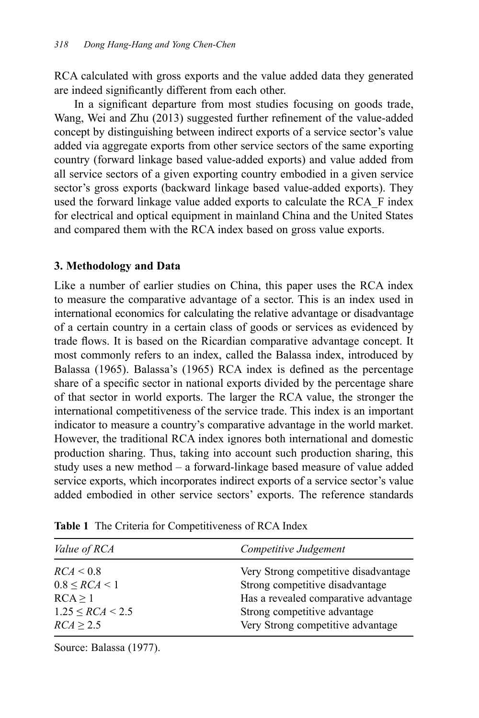RCA calculated with gross exports and the value added data they generated are indeed significantly different from each other.

In a significant departure from most studies focusing on goods trade, Wang, Wei and Zhu (2013) suggested further refinement of the value-added concept by distinguishing between indirect exports of a service sector's value added via aggregate exports from other service sectors of the same exporting country (forward linkage based value-added exports) and value added from all service sectors of a given exporting country embodied in a given service sector's gross exports (backward linkage based value-added exports). They used the forward linkage value added exports to calculate the RCA\_F index for electrical and optical equipment in mainland China and the United States and compared them with the RCA index based on gross value exports.

## **3. Methodology and Data**

Like a number of earlier studies on China, this paper uses the RCA index to measure the comparative advantage of a sector. This is an index used in international economics for calculating the relative advantage or disadvantage of a certain country in a certain class of goods or services as evidenced by trade flows. It is based on the Ricardian comparative advantage concept. It most commonly refers to an index, called the Balassa index, introduced by Balassa (1965). Balassa's (1965) RCA index is defined as the percentage share of a specific sector in national exports divided by the percentage share of that sector in world exports. The larger the RCA value, the stronger the international competitiveness of the service trade. This index is an important indicator to measure a country's comparative advantage in the world market. However, the traditional RCA index ignores both international and domestic production sharing. Thus, taking into account such production sharing, this study uses a new method – a forward-linkage based measure of value added service exports, which incorporates indirect exports of a service sector's value added embodied in other service sectors' exports. The reference standards

| Competitive Judgement                |
|--------------------------------------|
| Very Strong competitive disadvantage |
| Strong competitive disadvantage      |
| Has a revealed comparative advantage |
| Strong competitive advantage         |
| Very Strong competitive advantage    |
|                                      |

**Table 1** The Criteria for Competitiveness of RCA Index

Source: Balassa (1977).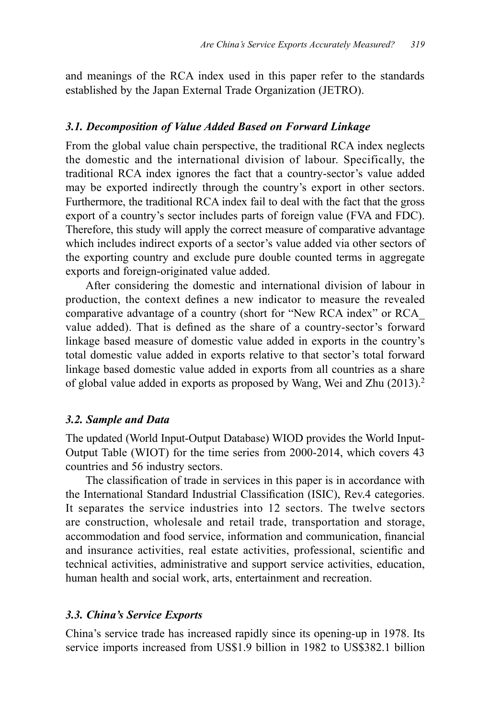and meanings of the RCA index used in this paper refer to the standards established by the Japan External Trade Organization (JETRO).

#### *3.1. Decomposition of Value Added Based on Forward Linkage*

From the global value chain perspective, the traditional RCA index neglects the domestic and the international division of labour. Specifically, the traditional RCA index ignores the fact that a country-sector's value added may be exported indirectly through the country's export in other sectors. Furthermore, the traditional RCA index fail to deal with the fact that the gross export of a country's sector includes parts of foreign value (FVA and FDC). Therefore, this study will apply the correct measure of comparative advantage which includes indirect exports of a sector's value added via other sectors of the exporting country and exclude pure double counted terms in aggregate exports and foreign-originated value added.

After considering the domestic and international division of labour in production, the context defines a new indicator to measure the revealed comparative advantage of a country (short for "New RCA index" or RCA\_ value added). That is defined as the share of a country-sector's forward linkage based measure of domestic value added in exports in the country's total domestic value added in exports relative to that sector's total forward linkage based domestic value added in exports from all countries as a share of global value added in exports as proposed by Wang, Wei and Zhu (2013).2

## *3.2. Sample and Data*

The updated (World Input-Output Database) WIOD provides the World Input-Output Table (WIOT) for the time series from 2000-2014, which covers 43 countries and 56 industry sectors.

The classification of trade in services in this paper is in accordance with the International Standard Industrial Classification (ISIC), Rev.4 categories. It separates the service industries into 12 sectors. The twelve sectors are construction, wholesale and retail trade, transportation and storage, accommodation and food service, information and communication, financial and insurance activities, real estate activities, professional, scientific and technical activities, administrative and support service activities, education, human health and social work, arts, entertainment and recreation.

## *3.3. China's Service Exports*

China's service trade has increased rapidly since its opening-up in 1978. Its service imports increased from US\$1.9 billion in 1982 to US\$382.1 billion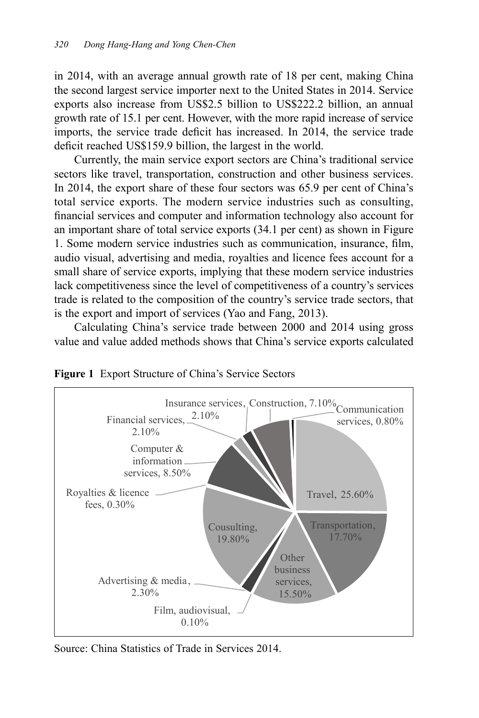in 2014, with an average annual growth rate of 18 per cent, making China the second largest service importer next to the United States in 2014. Service exports also increase from US\$2.5 billion to US\$222.2 billion, an annual growth rate of 15.1 per cent. However, with the more rapid increase of service imports, the service trade deficit has increased. In 2014, the service trade deficit reached US\$159.9 billion, the largest in the world.

Currently, the main service export sectors are China's traditional service sectors like travel, transportation, construction and other business services. In 2014, the export share of these four sectors was 65.9 per cent of China's total service exports. The modern service industries such as consulting, financial services and computer and information technology also account for an important share of total service exports (34.1 per cent) as shown in Figure 1. Some modern service industries such as communication, insurance, film, audio visual, advertising and media, royalties and licence fees account for a small share of service exports, implying that these modern service industries lack competitiveness since the level of competitiveness of a country's services trade is related to the composition of the country's service trade sectors, that is the export and import of services (Yao and Fang, 2013).

Calculating China's service trade between 2000 and 2014 using gross value and value added methods shows that China's service exports calculated





Source: China Statistics of Trade in Services 2014.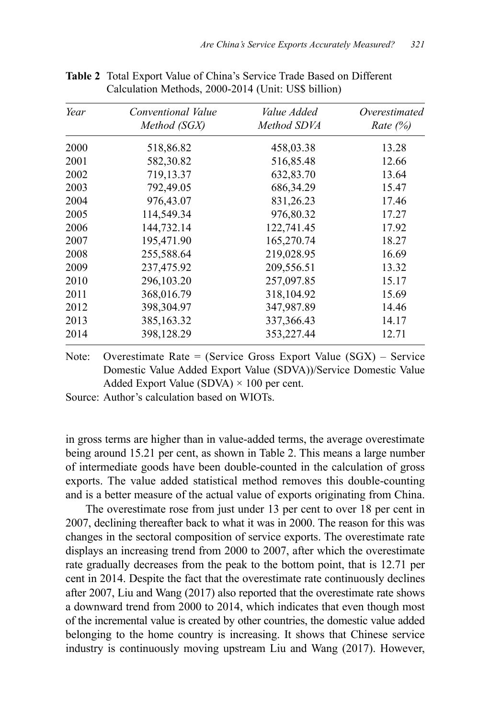| Year | Conventional Value<br>Method (SGX) | Value Added<br>Method SDVA | Overestimated<br>Rate $(\%)$ |
|------|------------------------------------|----------------------------|------------------------------|
| 2000 | 518,86.82                          | 458,03.38                  | 13.28                        |
| 2001 | 582,30.82                          | 516,85.48                  | 12.66                        |
| 2002 | 719,13.37                          | 632,83.70                  | 13.64                        |
| 2003 | 792,49.05                          | 686, 34. 29                | 15.47                        |
| 2004 | 976,43.07                          | 831,26.23                  | 17.46                        |
| 2005 | 114,549.34                         | 976,80.32                  | 17.27                        |
| 2006 | 144,732.14                         | 122,741.45                 | 17.92                        |
| 2007 | 195,471.90                         | 165,270.74                 | 18.27                        |
| 2008 | 255,588.64                         | 219,028.95                 | 16.69                        |
| 2009 | 237,475.92                         | 209,556.51                 | 13.32                        |
| 2010 | 296, 103. 20                       | 257,097.85                 | 15.17                        |
| 2011 | 368,016.79                         | 318,104.92                 | 15.69                        |
| 2012 | 398, 304. 97                       | 347,987.89                 | 14.46                        |
| 2013 | 385, 163. 32                       | 337,366.43                 | 14.17                        |
| 2014 | 398,128.29                         | 353,227.44                 | 12.71                        |

**Table 2** Total Export Value of China's Service Trade Based on Different Calculation Methods, 2000-2014 (Unit: US\$ billion)

Note: Overestimate Rate = (Service Gross Export Value  $(SGX)$  – Service Domestic Value Added Export Value (SDVA))/Service Domestic Value Added Export Value (SDVA)  $\times$  100 per cent.

Source: Author's calculation based on WIOTs.

in gross terms are higher than in value-added terms, the average overestimate being around 15.21 per cent, as shown in Table 2. This means a large number of intermediate goods have been double-counted in the calculation of gross exports. The value added statistical method removes this double-counting and is a better measure of the actual value of exports originating from China.

The overestimate rose from just under 13 per cent to over 18 per cent in 2007, declining thereafter back to what it was in 2000. The reason for this was changes in the sectoral composition of service exports. The overestimate rate displays an increasing trend from 2000 to 2007, after which the overestimate rate gradually decreases from the peak to the bottom point, that is 12.71 per cent in 2014. Despite the fact that the overestimate rate continuously declines after 2007, Liu and Wang (2017) also reported that the overestimate rate shows a downward trend from 2000 to 2014, which indicates that even though most of the incremental value is created by other countries, the domestic value added belonging to the home country is increasing. It shows that Chinese service industry is continuously moving upstream Liu and Wang (2017). However,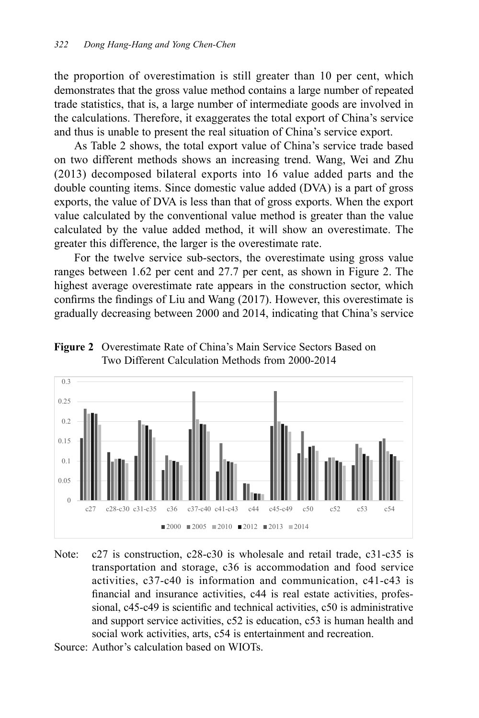the proportion of overestimation is still greater than 10 per cent, which demonstrates that the gross value method contains a large number of repeated trade statistics, that is, a large number of intermediate goods are involved in the calculations. Therefore, it exaggerates the total export of China's service and thus is unable to present the real situation of China's service export.

As Table 2 shows, the total export value of China's service trade based on two different methods shows an increasing trend. Wang, Wei and Zhu (2013) decomposed bilateral exports into 16 value added parts and the double counting items. Since domestic value added (DVA) is a part of gross exports, the value of DVA is less than that of gross exports. When the export value calculated by the conventional value method is greater than the value calculated by the value added method, it will show an overestimate. The greater this difference, the larger is the overestimate rate.

For the twelve service sub-sectors, the overestimate using gross value ranges between 1.62 per cent and 27.7 per cent, as shown in Figure 2. The highest average overestimate rate appears in the construction sector, which confirms the findings of Liu and Wang (2017). However, this overestimate is gradually decreasing between 2000 and 2014, indicating that China's service





- Note: c27 is construction, c28-c30 is wholesale and retail trade, c31-c35 is transportation and storage, c36 is accommodation and food service activities, c37-c40 is information and communication, c41-c43 is financial and insurance activities, c44 is real estate activities, professional, c45-c49 is scientific and technical activities, c50 is administrative and support service activities, c52 is education, c53 is human health and social work activities, arts, c54 is entertainment and recreation.
- Source: Author's calculation based on WIOTs.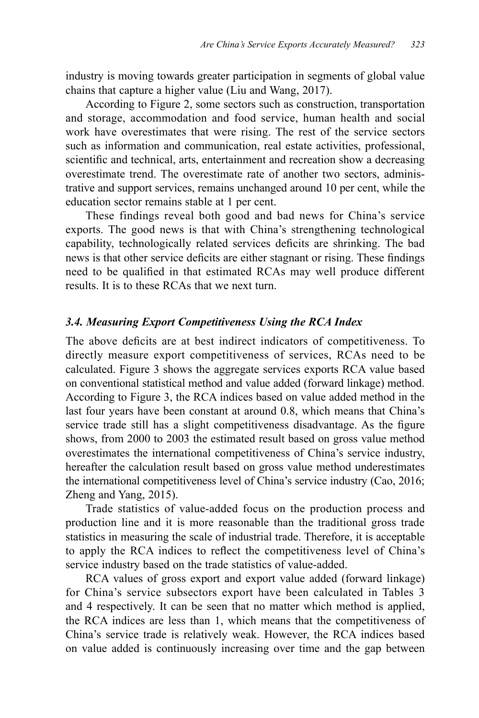industry is moving towards greater participation in segments of global value chains that capture a higher value (Liu and Wang, 2017).

According to Figure 2, some sectors such as construction, transportation and storage, accommodation and food service, human health and social work have overestimates that were rising. The rest of the service sectors such as information and communication, real estate activities, professional, scientific and technical, arts, entertainment and recreation show a decreasing overestimate trend. The overestimate rate of another two sectors, administrative and support services, remains unchanged around 10 per cent, while the education sector remains stable at 1 per cent.

These findings reveal both good and bad news for China's service exports. The good news is that with China's strengthening technological capability, technologically related services deficits are shrinking. The bad news is that other service deficits are either stagnant or rising. These findings need to be qualified in that estimated RCAs may well produce different results. It is to these RCAs that we next turn.

#### *3.4. Measuring Export Competitiveness Using the RCA Index*

The above deficits are at best indirect indicators of competitiveness. To directly measure export competitiveness of services, RCAs need to be calculated. Figure 3 shows the aggregate services exports RCA value based on conventional statistical method and value added (forward linkage) method. According to Figure 3, the RCA indices based on value added method in the last four years have been constant at around 0.8, which means that China's service trade still has a slight competitiveness disadvantage. As the figure shows, from 2000 to 2003 the estimated result based on gross value method overestimates the international competitiveness of China's service industry, hereafter the calculation result based on gross value method underestimates the international competitiveness level of China's service industry (Cao, 2016; Zheng and Yang, 2015).

Trade statistics of value-added focus on the production process and production line and it is more reasonable than the traditional gross trade statistics in measuring the scale of industrial trade. Therefore, it is acceptable to apply the RCA indices to reflect the competitiveness level of China's service industry based on the trade statistics of value-added.

RCA values of gross export and export value added (forward linkage) for China's service subsectors export have been calculated in Tables 3 and 4 respectively. It can be seen that no matter which method is applied, the RCA indices are less than 1, which means that the competitiveness of China's service trade is relatively weak. However, the RCA indices based on value added is continuously increasing over time and the gap between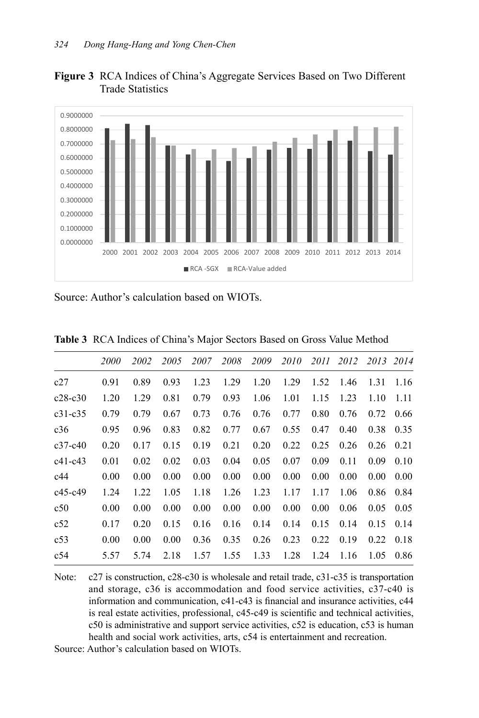



Source: Author's calculation based on WIOTs.

|           | <i>2000</i> | 2002 | 2005 | 2007 | 2008 | 2009 | 2010 |      | 2011 2012 2013 2014 |      |      |
|-----------|-------------|------|------|------|------|------|------|------|---------------------|------|------|
| c27       | 0.91        | 0.89 | 0.93 | 1.23 | 1.29 | 1.20 | 1.29 | 1.52 | 1.46                | 1.31 | 1.16 |
| $c28-c30$ | 1.20        | 1.29 | 0.81 | 0.79 | 0.93 | 1.06 | 1.01 | 1.15 | 1.23                | 1.10 | 1.11 |
| $c31-c35$ | 0.79        | 0.79 | 0.67 | 0.73 | 0.76 | 0.76 | 0.77 | 0.80 | 0.76                | 0.72 | 0.66 |
| c36       | 0.95        | 0.96 | 0.83 | 0.82 | 0.77 | 0.67 | 0.55 | 0.47 | 0.40                | 0.38 | 0.35 |
| $c37-c40$ | 0.20        | 0.17 | 0.15 | 0.19 | 0.21 | 0.20 | 0.22 | 0.25 | 0.26                | 0.26 | 0.21 |
| $c41-c43$ | 0.01        | 0.02 | 0.02 | 0.03 | 0.04 | 0.05 | 0.07 | 0.09 | 0.11                | 0.09 | 0.10 |
| c44       | 0.00        | 0.00 | 0.00 | 0.00 | 0.00 | 0.00 | 0.00 | 0.00 | 0.00                | 0.00 | 0.00 |
| $c45-c49$ | 1.24        | 1.22 | 1.05 | 1.18 | 1.26 | 1.23 | 1.17 | 1.17 | 1.06                | 0.86 | 0.84 |
| c50       | 0.00        | 0.00 | 0.00 | 0.00 | 0.00 | 0.00 | 0.00 | 0.00 | 0.06                | 0.05 | 0.05 |
| c52       | 0.17        | 0.20 | 0.15 | 0.16 | 0.16 | 0.14 | 0.14 | 0.15 | 0.14                | 0.15 | 0.14 |
| c53       | 0.00        | 0.00 | 0.00 | 0.36 | 0.35 | 0.26 | 0.23 | 0.22 | 0.19                | 0.22 | 0.18 |
| c54       | 5.57        | 5.74 | 2.18 | 1.57 | 1.55 | 1.33 | 1.28 | 1.24 | 1.16                | 1.05 | 0.86 |
|           |             |      |      |      |      |      |      |      |                     |      |      |

**Table 3** RCA Indices of China's Major Sectors Based on Gross Value Method

Note: c27 is construction, c28-c30 is wholesale and retail trade, c31-c35 is transportation and storage, c36 is accommodation and food service activities, c37-c40 is information and communication, c41-c43 is financial and insurance activities, c44 is real estate activities, professional, c45-c49 is scientific and technical activities, c50 is administrative and support service activities, c52 is education, c53 is human health and social work activities, arts, c54 is entertainment and recreation.

Source: Author's calculation based on WIOTs.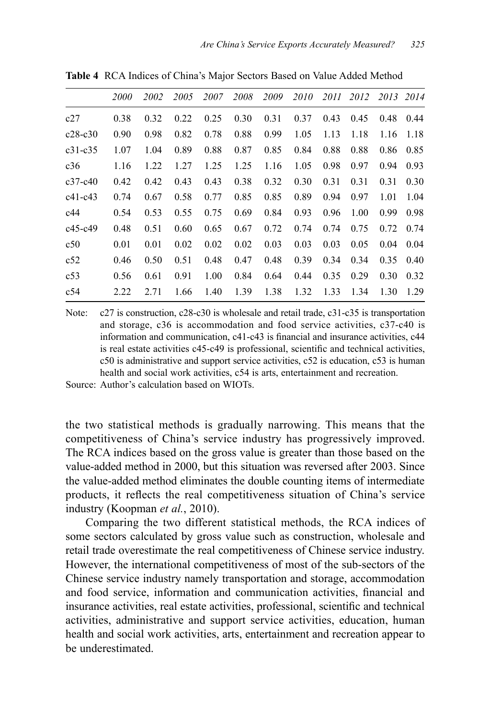|             | <i>2000</i> | 2002 | 2005 | 2007 | 2008 | 2009 | 2010 | 2011 | 2012 | 2013 | 2014 |
|-------------|-------------|------|------|------|------|------|------|------|------|------|------|
| c27         | 0.38        | 0.32 | 0.22 | 0.25 | 0.30 | 0.31 | 0.37 | 0.43 | 0.45 | 0.48 | 0.44 |
| $c28-c30$   | 0.90        | 0.98 | 0.82 | 0.78 | 0.88 | 0.99 | 1.05 | 1.13 | 1.18 | 1.16 | 1.18 |
| $c31 - c35$ | 1.07        | 1.04 | 0.89 | 0.88 | 0.87 | 0.85 | 0.84 | 0.88 | 0.88 | 0.86 | 0.85 |
| c36         | 1.16        | 1.22 | 1.27 | 1.25 | 1.25 | 1.16 | 1.05 | 0.98 | 0.97 | 0.94 | 0.93 |
| $c37-c40$   | 0.42        | 0.42 | 0.43 | 0.43 | 0.38 | 0.32 | 0.30 | 0.31 | 0.31 | 0.31 | 0.30 |
| $c41-c43$   | 0.74        | 0.67 | 0.58 | 0.77 | 0.85 | 0.85 | 0.89 | 0.94 | 0.97 | 1.01 | 1.04 |
| c44         | 0.54        | 0.53 | 0.55 | 0.75 | 0.69 | 0.84 | 0.93 | 0.96 | 1.00 | 0.99 | 0.98 |
| $c45-c49$   | 0.48        | 0.51 | 0.60 | 0.65 | 0.67 | 0.72 | 0.74 | 0.74 | 0.75 | 0.72 | 0.74 |
| c50         | 0.01        | 0.01 | 0.02 | 0.02 | 0.02 | 0.03 | 0.03 | 0.03 | 0.05 | 0.04 | 0.04 |
| c52         | 0.46        | 0.50 | 0.51 | 0.48 | 0.47 | 0.48 | 0.39 | 0.34 | 0.34 | 0.35 | 0.40 |
| c53         | 0.56        | 0.61 | 0.91 | 1.00 | 0.84 | 0.64 | 0.44 | 0.35 | 0.29 | 0.30 | 0.32 |
| c54         | 2.22        | 2.71 | 1.66 | 1.40 | 1.39 | 1.38 | 1.32 | 1.33 | 1.34 | 1.30 | 1.29 |

**Table 4** RCA Indices of China's Major Sectors Based on Value Added Method

Note: c27 is construction, c28-c30 is wholesale and retail trade, c31-c35 is transportation and storage, c36 is accommodation and food service activities, c37-c40 is information and communication, c41-c43 is financial and insurance activities, c44 is real estate activities c45-c49 is professional, scientific and technical activities, c50 is administrative and support service activities, c52 is education, c53 is human health and social work activities, c54 is arts, entertainment and recreation.

Source: Author's calculation based on WIOTs.

the two statistical methods is gradually narrowing. This means that the competitiveness of China's service industry has progressively improved. The RCA indices based on the gross value is greater than those based on the value-added method in 2000, but this situation was reversed after 2003. Since the value-added method eliminates the double counting items of intermediate products, it reflects the real competitiveness situation of China's service industry (Koopman *et al.*, 2010).

Comparing the two different statistical methods, the RCA indices of some sectors calculated by gross value such as construction, wholesale and retail trade overestimate the real competitiveness of Chinese service industry. However, the international competitiveness of most of the sub-sectors of the Chinese service industry namely transportation and storage, accommodation and food service, information and communication activities, financial and insurance activities, real estate activities, professional, scientific and technical activities, administrative and support service activities, education, human health and social work activities, arts, entertainment and recreation appear to be underestimated.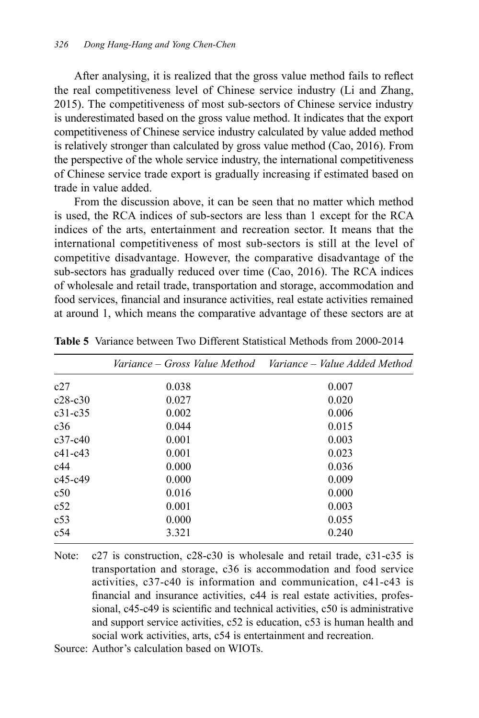After analysing, it is realized that the gross value method fails to reflect the real competitiveness level of Chinese service industry (Li and Zhang, 2015). The competitiveness of most sub-sectors of Chinese service industry is underestimated based on the gross value method. It indicates that the export competitiveness of Chinese service industry calculated by value added method is relatively stronger than calculated by gross value method (Cao, 2016). From the perspective of the whole service industry, the international competitiveness of Chinese service trade export is gradually increasing if estimated based on trade in value added.

From the discussion above, it can be seen that no matter which method is used, the RCA indices of sub-sectors are less than 1 except for the RCA indices of the arts, entertainment and recreation sector. It means that the international competitiveness of most sub-sectors is still at the level of competitive disadvantage. However, the comparative disadvantage of the sub-sectors has gradually reduced over time (Cao, 2016). The RCA indices of wholesale and retail trade, transportation and storage, accommodation and food services, financial and insurance activities, real estate activities remained at around 1, which means the comparative advantage of these sectors are at

|             |       | Variance – Gross Value Method – Variance – Value Added Method |
|-------------|-------|---------------------------------------------------------------|
| c27         | 0.038 | 0.007                                                         |
| $c28-c30$   | 0.027 | 0.020                                                         |
| $c31 - c35$ | 0.002 | 0.006                                                         |
| c36         | 0.044 | 0.015                                                         |
| $c37-c40$   | 0.001 | 0.003                                                         |
| $c41-c43$   | 0.001 | 0.023                                                         |
| c44         | 0.000 | 0.036                                                         |
| $c45-c49$   | 0.000 | 0.009                                                         |
| c50         | 0.016 | 0.000                                                         |
| c52         | 0.001 | 0.003                                                         |
| c53         | 0.000 | 0.055                                                         |
| c54         | 3.321 | 0.240                                                         |

**Table 5** Variance between Two Different Statistical Methods from 2000-2014

Note: c27 is construction, c28-c30 is wholesale and retail trade, c31-c35 is transportation and storage, c36 is accommodation and food service activities, c37-c40 is information and communication, c41-c43 is financial and insurance activities, c44 is real estate activities, professional, c45-c49 is scientific and technical activities, c50 is administrative and support service activities, c52 is education, c53 is human health and social work activities, arts, c54 is entertainment and recreation.

Source: Author's calculation based on WIOTs.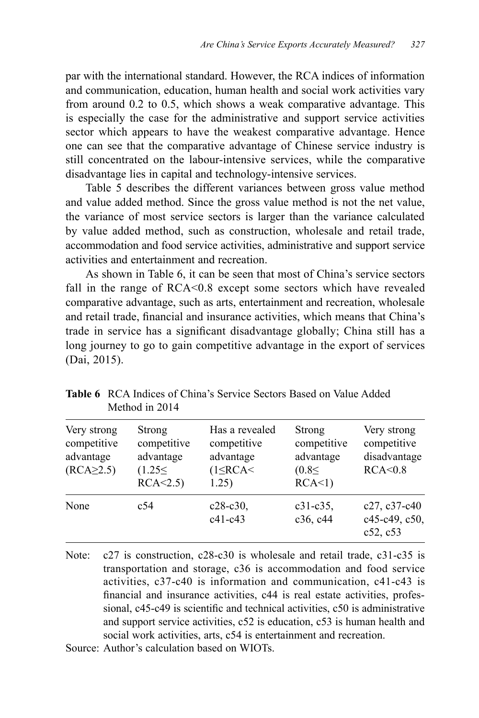par with the international standard. However, the RCA indices of information and communication, education, human health and social work activities vary from around 0.2 to 0.5, which shows a weak comparative advantage. This is especially the case for the administrative and support service activities sector which appears to have the weakest comparative advantage. Hence one can see that the comparative advantage of Chinese service industry is still concentrated on the labour-intensive services, while the comparative disadvantage lies in capital and technology-intensive services.

Table 5 describes the different variances between gross value method and value added method. Since the gross value method is not the net value, the variance of most service sectors is larger than the variance calculated by value added method, such as construction, wholesale and retail trade, accommodation and food service activities, administrative and support service activities and entertainment and recreation.

As shown in Table 6, it can be seen that most of China's service sectors fall in the range of RCA<0.8 except some sectors which have revealed comparative advantage, such as arts, entertainment and recreation, wholesale and retail trade, financial and insurance activities, which means that China's trade in service has a significant disadvantage globally; China still has a long journey to go to gain competitive advantage in the export of services (Dai, 2015).

| Very strong<br>competitive<br>advantage<br>$(RCA \geq 2.5)$ | Strong<br>competitive<br>advantage<br>(1.25<<br>RCA < 2.5 | Has a revealed<br>competitive<br>advantage<br>$(1 \leq RCA \leq$<br>1.25) | Strong<br>competitive<br>advantage<br>(0.85)<br>RCA<1) | Very strong<br>competitive<br>disadvantage<br>RCA<0.8 |
|-------------------------------------------------------------|-----------------------------------------------------------|---------------------------------------------------------------------------|--------------------------------------------------------|-------------------------------------------------------|
| None                                                        | c54                                                       | $c28-c30$ ,<br>$c41-c43$                                                  | $c31-c35,$<br>c36, c44                                 | $c27, c37-c40$<br>c45-c49, c50,<br>c52, c53           |

**Table 6** RCA Indices of China's Service Sectors Based on Value Added Method in 2014

Note: c27 is construction, c28-c30 is wholesale and retail trade, c31-c35 is transportation and storage, c36 is accommodation and food service activities, c37-c40 is information and communication, c41-c43 is financial and insurance activities, c44 is real estate activities, professional, c45-c49 is scientific and technical activities, c50 is administrative and support service activities, c52 is education, c53 is human health and social work activities, arts, c54 is entertainment and recreation.

Source: Author's calculation based on WIOTs.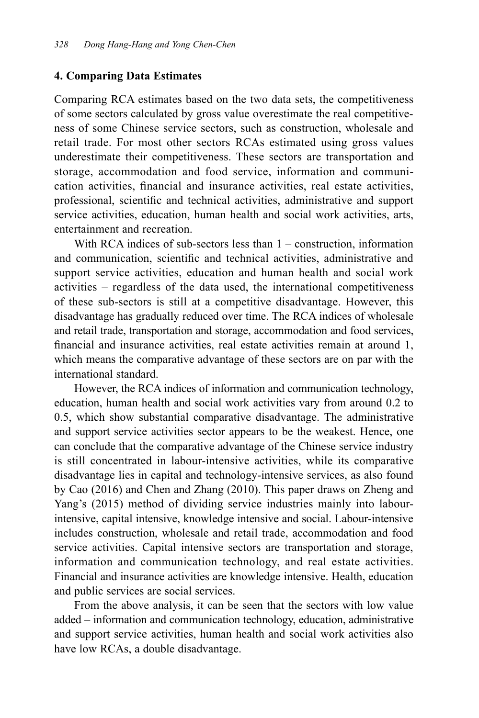#### **4. Comparing Data Estimates**

Comparing RCA estimates based on the two data sets, the competitiveness of some sectors calculated by gross value overestimate the real competitiveness of some Chinese service sectors, such as construction, wholesale and retail trade. For most other sectors RCAs estimated using gross values underestimate their competitiveness. These sectors are transportation and storage, accommodation and food service, information and communication activities, financial and insurance activities, real estate activities, professional, scientific and technical activities, administrative and support service activities, education, human health and social work activities, arts, entertainment and recreation.

With RCA indices of sub-sectors less than  $1$  – construction, information and communication, scientific and technical activities, administrative and support service activities, education and human health and social work activities – regardless of the data used, the international competitiveness of these sub-sectors is still at a competitive disadvantage. However, this disadvantage has gradually reduced over time. The RCA indices of wholesale and retail trade, transportation and storage, accommodation and food services, financial and insurance activities, real estate activities remain at around 1, which means the comparative advantage of these sectors are on par with the international standard.

However, the RCA indices of information and communication technology, education, human health and social work activities vary from around 0.2 to 0.5, which show substantial comparative disadvantage. The administrative and support service activities sector appears to be the weakest. Hence, one can conclude that the comparative advantage of the Chinese service industry is still concentrated in labour-intensive activities, while its comparative disadvantage lies in capital and technology-intensive services, as also found by Cao (2016) and Chen and Zhang (2010). This paper draws on Zheng and Yang's (2015) method of dividing service industries mainly into labourintensive, capital intensive, knowledge intensive and social. Labour-intensive includes construction, wholesale and retail trade, accommodation and food service activities. Capital intensive sectors are transportation and storage, information and communication technology, and real estate activities. Financial and insurance activities are knowledge intensive. Health, education and public services are social services.

From the above analysis, it can be seen that the sectors with low value added – information and communication technology, education, administrative and support service activities, human health and social work activities also have low RCAs, a double disadvantage.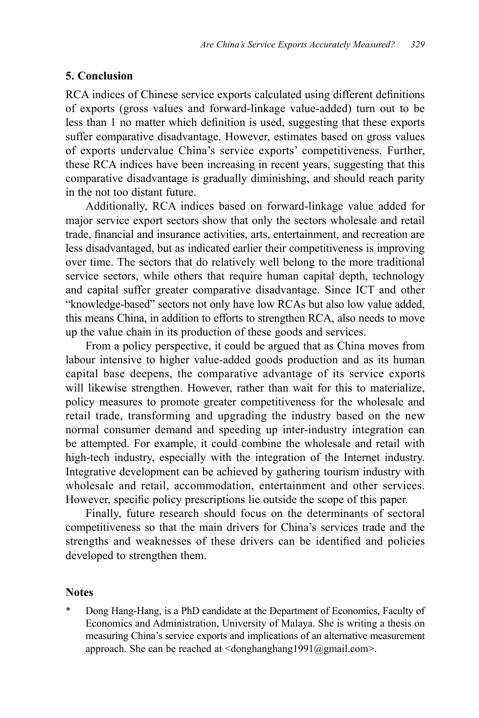#### **5. Conclusion**

RCA indices of Chinese service exports calculated using different definitions of exports (gross values and forward-linkage value-added) turn out to be less than 1 no matter which definition is used, suggesting that these exports suffer comparative disadvantage. However, estimates based on gross values of exports undervalue China's service exports' competitiveness. Further, these RCA indices have been increasing in recent years, suggesting that this comparative disadvantage is gradually diminishing, and should reach parity in the not too distant future.

Additionally, RCA indices based on forward-linkage value added for major service export sectors show that only the sectors wholesale and retail trade, financial and insurance activities, arts, entertainment, and recreation are less disadvantaged, but as indicated earlier their competitiveness is improving over time. The sectors that do relatively well belong to the more traditional service sectors, while others that require human capital depth, technology and capital suffer greater comparative disadvantage. Since ICT and other "knowledge-based" sectors not only have low RCAs but also low value added, this means China, in addition to efforts to strengthen RCA, also needs to move up the value chain in its production of these goods and services.

From a policy perspective, it could be argued that as China moves from labour intensive to higher value-added goods production and as its human capital base deepens, the comparative advantage of its service exports will likewise strengthen. However, rather than wait for this to materialize, policy measures to promote greater competitiveness for the wholesale and retail trade, transforming and upgrading the industry based on the new normal consumer demand and speeding up inter-industry integration can be attempted. For example, it could combine the wholesale and retail with high-tech industry, especially with the integration of the Internet industry. Integrative development can be achieved by gathering tourism industry with wholesale and retail, accommodation, entertainment and other services. However, specific policy prescriptions lie outside the scope of this paper.

Finally, future research should focus on the determinants of sectoral competitiveness so that the main drivers for China's services trade and the strengths and weaknesses of these drivers can be identified and policies developed to strengthen them.

#### **Notes**

Dong Hang-Hang, is a PhD candidate at the Department of Economics, Faculty of Economics and Administration, University of Malaya. She is writing a thesis on measuring China's service exports and implications of an alternative measurement approach. She can be reached at  $\langle$ donghanghang1991@gmail.com>.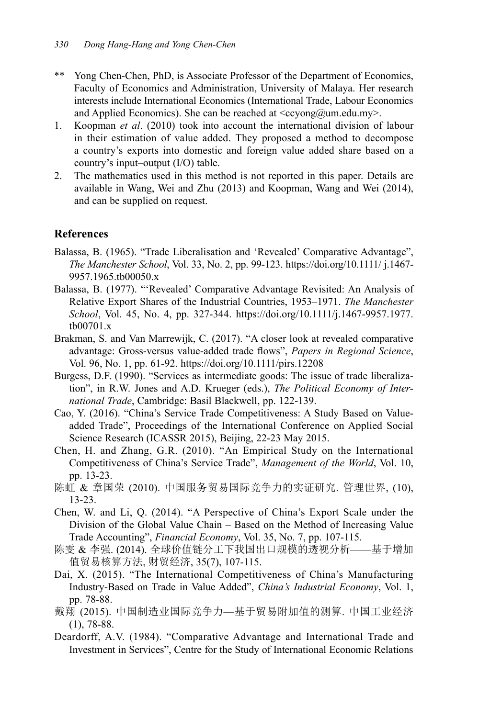- \*\* Yong Chen-Chen, PhD, is Associate Professor of the Department of Economics, Faculty of Economics and Administration, University of Malaya. Her research interests include International Economics (International Trade, Labour Economics and Applied Economics). She can be reached at  $\langle c \rangle$  =  $\langle c \rangle$  =  $\langle c \rangle$  =  $\langle c \rangle$  =  $\langle c \rangle$  =  $\langle c \rangle$  =  $\langle c \rangle$  =  $\langle c \rangle$  =  $\langle c \rangle$  =  $\langle c \rangle$  =  $\langle c \rangle$  =  $\langle c \rangle$  =  $\langle c \rangle$  =  $\langle c \rangle$  =  $\langle c \rangle$  =  $\langle c \rangle$  =  $\langle c \rangle$  =  $\langle c \$
- 1. Koopman *et al*. (2010) took into account the international division of labour in their estimation of value added. They proposed a method to decompose a country's exports into domestic and foreign value added share based on a country's input–output (I/O) table.
- 2. The mathematics used in this method is not reported in this paper. Details are available in Wang, Wei and Zhu (2013) and Koopman, Wang and Wei (2014), and can be supplied on request.

#### **References**

- Balassa, B. (1965). "Trade Liberalisation and 'Revealed' Comparative Advantage", *The Manchester School*, Vol. 33, No. 2, pp. 99-123. https://doi.org/10.1111/ j.1467- 9957.1965.tb00050.x
- Balassa, B. (1977). "'Revealed' Comparative Advantage Revisited: An Analysis of Relative Export Shares of the Industrial Countries, 1953–1971. *The Manchester School*, Vol. 45, No. 4, pp. 327-344. https://doi.org/10.1111/j.1467-9957.1977. tb00701.x
- Brakman, S. and Van Marrewijk, C. (2017). "A closer look at revealed comparative advantage: Gross-versus value-added trade flows", *Papers in Regional Science*, Vol. 96, No. 1, pp. 61-92. https://doi.org/10.1111/pirs.12208
- Burgess, D.F. (1990). "Services as intermediate goods: The issue of trade liberalization", in R.W. Jones and A.D. Krueger (eds.), *The Political Economy of International Trade*, Cambridge: Basil Blackwell, pp. 122-139.
- Cao, Y. (2016). "China's Service Trade Competitiveness: A Study Based on Valueadded Trade", Proceedings of the International Conference on Applied Social Science Research (ICASSR 2015), Beijing, 22-23 May 2015.
- Chen, H. and Zhang, G.R. (2010). "An Empirical Study on the International Competitiveness of China's Service Trade", *Management of the World*, Vol. 10, pp. 13-23.
- 陈虹 & 章国荣 (2010). 中国服务贸易国际竞争力的实证研究. 管理世界, (10), 13-23.
- Chen, W. and Li, Q. (2014). "A Perspective of China's Export Scale under the Division of the Global Value Chain – Based on the Method of Increasing Value Trade Accounting", *Financial Economy*, Vol. 35, No. 7, pp. 107-115.
- 陈雯 & 李强. (2014). 全球价值链分工下我国出口规模的透视分析——基于增加 值贸易核算方法, 财贸经济, 35(7), 107-115.
- Dai, X. (2015). "The International Competitiveness of China's Manufacturing Industry-Based on Trade in Value Added", *China's Industrial Economy*, Vol. 1, pp. 78-88.
- 戴翔 (2015). 中国制造业国际竞争力—基于贸易附加值的测算. 中国工业经济 (1), 78-88.
- Deardorff, A.V. (1984). "Comparative Advantage and International Trade and Investment in Services", Centre for the Study of International Economic Relations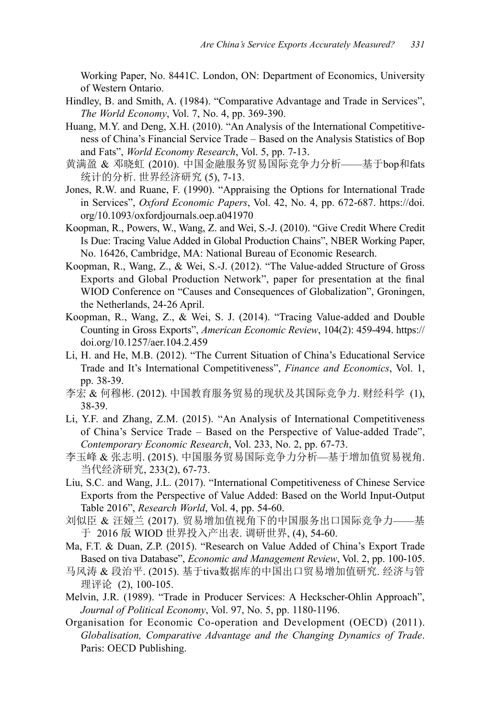Working Paper, No. 8441C. London, ON: Department of Economics, University of Western Ontario.

- Hindley, B. and Smith, A. (1984). "Comparative Advantage and Trade in Services", *The World Economy*, Vol. 7, No. 4, pp. 369-390.
- Huang, M.Y. and Deng, X.H. (2010). "An Analysis of the International Competitiveness of China's Financial Service Trade – Based on the Analysis Statistics of Bop and Fats", *World Economy Research*, Vol. 5, pp. 7-13.
- 黄满盈 & 邓晓虹 (2010). 中国金融服务贸易国际竞争力分析——基于bop和fats 统计的分析. 世界经济研究 (5), 7-13.
- Jones, R.W. and Ruane, F. (1990). "Appraising the Options for International Trade in Services", *Oxford Economic Papers*, Vol. 42, No. 4, pp. 672-687. https://doi. org/10.1093/oxfordjournals.oep.a041970
- Koopman, R., Powers, W., Wang, Z. and Wei, S.-J. (2010). "Give Credit Where Credit Is Due: Tracing Value Added in Global Production Chains", NBER Working Paper, No. 16426, Cambridge, MA: National Bureau of Economic Research.
- Koopman, R., Wang, Z., & Wei, S.-J. (2012). "The Value-added Structure of Gross Exports and Global Production Network", paper for presentation at the final WIOD Conference on "Causes and Consequences of Globalization", Groningen, the Netherlands, 24-26 April.
- Koopman, R., Wang, Z., & Wei, S. J. (2014). "Tracing Value-added and Double Counting in Gross Exports", *American Economic Review*, 104(2): 459-494. https:// doi.org/10.1257/aer.104.2.459
- Li, H. and He, M.B. (2012). "The Current Situation of China's Educational Service Trade and It's International Competitiveness", *Finance and Economics*, Vol. 1, pp. 38-39.
- 李宏 & 何穆彬. (2012). 中国教育服务贸易的现状及其国际竞争力. 财经科学 (1), 38-39.
- Li, Y.F. and Zhang, Z.M. (2015). "An Analysis of International Competitiveness of China's Service Trade – Based on the Perspective of Value-added Trade", *Contemporary Economic Research*, Vol. 233, No. 2, pp. 67-73.
- 李玉峰 & 张志明. (2015). 中国服务贸易国际竞争力分析—基于增加值贸易视角. 当代经济研究, 233(2), 67-73.
- Liu, S.C. and Wang, J.L. (2017). "International Competitiveness of Chinese Service Exports from the Perspective of Value Added: Based on the World Input-Output Table 2016", *Research World*, Vol. 4, pp. 54-60.
- 刘似臣 & 汪娅兰 (2017). 贸易增加值视角下的中国服务出口国际竞争力——基 于 2016 版 WIOD 世界投入产出表. 调研世界, (4), 54-60.
- Ma, F.T. & Duan, Z.P. (2015). "Research on Value Added of China's Export Trade Based on tiva Database", *Economic and Management Review*, Vol. 2, pp. 100-105.
- 马风涛 & 段治平. (2015). 基于tiva数据库的中国出口贸易增加值研究. 经济与管 理评论 (2), 100-105.
- Melvin, J.R. (1989). "Trade in Producer Services: A Heckscher-Ohlin Approach", *Journal of Political Economy*, Vol. 97, No. 5, pp. 1180-1196.
- Organisation for Economic Co-operation and Development (OECD) (2011). *Globalisation, Comparative Advantage and the Changing Dynamics of Trade*. Paris: OECD Publishing.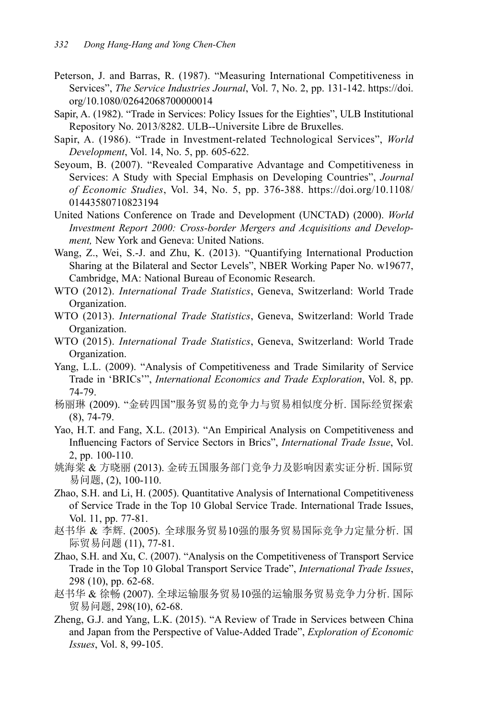- Peterson, J. and Barras, R. (1987). "Measuring International Competitiveness in Services", *The Service Industries Journal*, Vol. 7, No. 2, pp. 131-142. https://doi. org/10.1080/02642068700000014
- Sapir, A. (1982). "Trade in Services: Policy Issues for the Eighties", ULB Institutional Repository No. 2013/8282. ULB--Universite Libre de Bruxelles.
- Sapir, A. (1986). "Trade in Investment-related Technological Services", *World Development*, Vol. 14, No. 5, pp. 605-622.
- Seyoum, B. (2007). "Revealed Comparative Advantage and Competitiveness in Services: A Study with Special Emphasis on Developing Countries", *Journal of Economic Studies*, Vol. 34, No. 5, pp. 376-388. https://doi.org/10.1108/ 01443580710823194
- United Nations Conference on Trade and Development (UNCTAD) (2000). *World Investment Report 2000: Cross-border Mergers and Acquisitions and Development,* New York and Geneva: United Nations.
- Wang, Z., Wei, S.-J. and Zhu, K. (2013). "Quantifying International Production Sharing at the Bilateral and Sector Levels", NBER Working Paper No. w19677, Cambridge, MA: National Bureau of Economic Research.
- WTO (2012). *International Trade Statistics*, Geneva, Switzerland: World Trade Organization.
- WTO (2013). *International Trade Statistics*, Geneva, Switzerland: World Trade Organization.
- WTO (2015). *International Trade Statistics*, Geneva, Switzerland: World Trade Organization.
- Yang, L.L. (2009). "Analysis of Competitiveness and Trade Similarity of Service Trade in 'BRICs'", *International Economics and Trade Exploration*, Vol. 8, pp. 74-79.
- 杨丽琳 (2009). "金砖四国"服务贸易的竞争力与贸易相似度分析. 国际经贸探索 (8), 74-79.
- Yao, H.T. and Fang, X.L. (2013). "An Empirical Analysis on Competitiveness and Influencing Factors of Service Sectors in Brics", *International Trade Issue*, Vol. 2, pp. 100-110.
- 姚海棠 & 方晓丽 (2013). 金砖五国服务部门竞争力及影响因素实证分析. 国际贸 易问题, (2), 100-110.
- Zhao, S.H. and Li, H. (2005). Quantitative Analysis of International Competitiveness of Service Trade in the Top 10 Global Service Trade. International Trade Issues, Vol. 11, pp. 77-81.
- 赵书华 & 李辉. (2005). 全球服务贸易10强的服务贸易国际竞争力定量分析. 国 际贸易问题 (11), 77-81.
- Zhao, S.H. and Xu, C. (2007). "Analysis on the Competitiveness of Transport Service Trade in the Top 10 Global Transport Service Trade", *International Trade Issues*, 298 (10), pp. 62-68.
- 赵书华 & 徐畅 (2007). 全球运输服务贸易10强的运输服务贸易竞争力分析. 国际 贸易问题, 298(10), 62-68.
- Zheng, G.J. and Yang, L.K. (2015). "A Review of Trade in Services between China and Japan from the Perspective of Value-Added Trade", *Exploration of Economic Issues*, Vol. 8, 99-105.